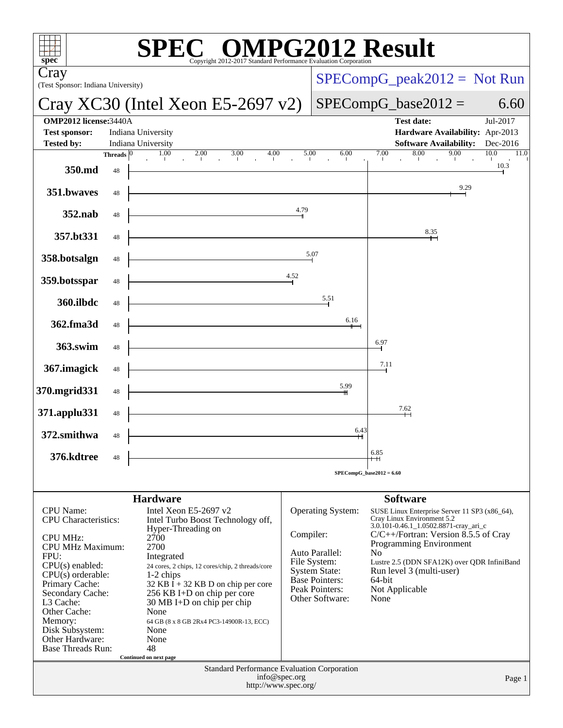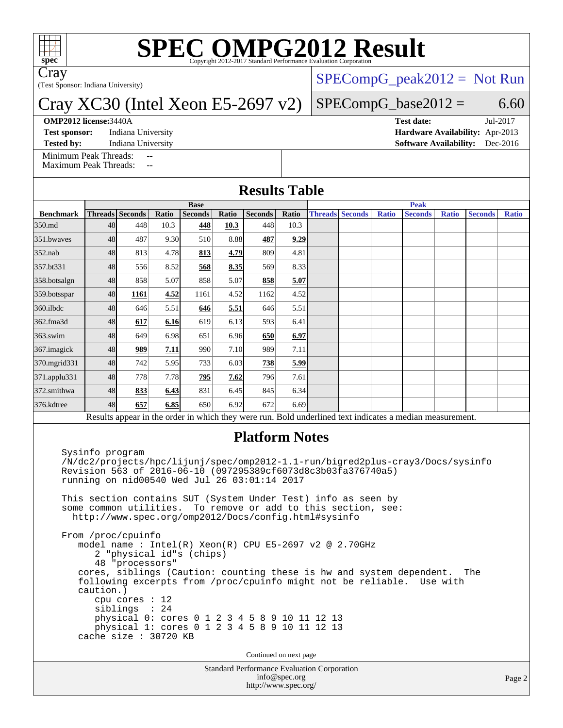

# **[SPEC OMPG2012 Result](http://www.spec.org/auto/omp2012/Docs/result-fields.html#SPECOMPG2012Result)**

Cray

(Test Sponsor: Indiana University)

## Cray XC30 (Intel Xeon E5-2697 v2)

### **[OMP2012 license:](http://www.spec.org/auto/omp2012/Docs/result-fields.html#OMP2012license)**3440A **[Test date:](http://www.spec.org/auto/omp2012/Docs/result-fields.html#Testdate)** Jul-2017

**[Test sponsor:](http://www.spec.org/auto/omp2012/Docs/result-fields.html#Testsponsor)** Indiana University **[Hardware Availability:](http://www.spec.org/auto/omp2012/Docs/result-fields.html#HardwareAvailability)** Apr-2013

 $SPECompG_peak2012 = Not Run$  $SPECompG_peak2012 = Not Run$ 

## $SPECompG_base2012 = 6.60$  $SPECompG_base2012 = 6.60$

**[Tested by:](http://www.spec.org/auto/omp2012/Docs/result-fields.html#Testedby)** Indiana University **[Software Availability:](http://www.spec.org/auto/omp2012/Docs/result-fields.html#SoftwareAvailability)** Dec-2016

[Minimum Peak Threads:](http://www.spec.org/auto/omp2012/Docs/result-fields.html#MinimumPeakThreads) [Maximum Peak Threads:](http://www.spec.org/auto/omp2012/Docs/result-fields.html#MaximumPeakThreads)

|                  | <b>Base</b> |                 |       |                |       |                |       | <b>Peak</b> |                        |              |                                                                                                          |              |                |              |
|------------------|-------------|-----------------|-------|----------------|-------|----------------|-------|-------------|------------------------|--------------|----------------------------------------------------------------------------------------------------------|--------------|----------------|--------------|
| <b>Benchmark</b> |             | Threads Seconds | Ratio | <b>Seconds</b> | Ratio | <b>Seconds</b> | Ratio |             | <b>Threads Seconds</b> | <b>Ratio</b> | <b>Seconds</b>                                                                                           | <b>Ratio</b> | <b>Seconds</b> | <b>Ratio</b> |
| 350.md           | 48          | 448             | 10.3  | 448            | 10.3  | 448            | 10.3  |             |                        |              |                                                                                                          |              |                |              |
| 351.bwayes       | 48          | 487             | 9.30  | 510            | 8.88  | 487            | 9.29  |             |                        |              |                                                                                                          |              |                |              |
| $352$ .nab       | 48          | 813             | 4.78  | 813            | 4.79  | 809            | 4.81  |             |                        |              |                                                                                                          |              |                |              |
| 357.bt331        | 48          | 556             | 8.52  | 568            | 8.35  | 569            | 8.33  |             |                        |              |                                                                                                          |              |                |              |
| 358.botsalgn     | 48          | 858             | 5.07  | 858            | 5.07  | 858            | 5.07  |             |                        |              |                                                                                                          |              |                |              |
| 359.botsspar     | 48          | 1161            | 4.52  | 1161           | 4.52  | 1162           | 4.52  |             |                        |              |                                                                                                          |              |                |              |
| 360.ilbdc        | 48          | 646             | 5.51  | 646            | 5.51  | 646            | 5.51  |             |                        |              |                                                                                                          |              |                |              |
| 362.fma3d        | 48          | 617             | 6.16  | 619            | 6.13  | 593            | 6.41  |             |                        |              |                                                                                                          |              |                |              |
| $363$ .swim      | 48          | 649             | 6.98  | 651            | 6.96  | 650            | 6.97  |             |                        |              |                                                                                                          |              |                |              |
| 367.imagick      | 48          | <u>989</u>      | 7.11  | 990            | 7.10  | 989            | 7.11  |             |                        |              |                                                                                                          |              |                |              |
| 370.mgrid331     | 48          | 742             | 5.95  | 733            | 6.03  | 738            | 5.99  |             |                        |              |                                                                                                          |              |                |              |
| 371.applu331     | 48          | 778             | 7.78  | 795            | 7.62  | 796            | 7.61  |             |                        |              |                                                                                                          |              |                |              |
| 372.smithwa      | 48          | 833             | 6.43  | 831            | 6.45  | 845            | 6.34  |             |                        |              |                                                                                                          |              |                |              |
| 376.kdtree       | 48          | 657             | 6.85  | 650            | 6.92  | 672            | 6.69  |             |                        |              |                                                                                                          |              |                |              |
|                  |             |                 |       |                |       |                |       |             |                        |              | Results appear in the order in which they were run. Bold underlined text indicates a median measurement. |              |                |              |

## **[Platform Notes](http://www.spec.org/auto/omp2012/Docs/result-fields.html#PlatformNotes)**

 Sysinfo program /N/dc2/projects/hpc/lijunj/spec/omp2012-1.1-run/bigred2plus-cray3/Docs/sysinfo Revision 563 of 2016-06-10 (097295389cf6073d8c3b03fa376740a5) running on nid00540 Wed Jul 26 03:01:14 2017

 This section contains SUT (System Under Test) info as seen by some common utilities. To remove or add to this section, see: <http://www.spec.org/omp2012/Docs/config.html#sysinfo>

 From /proc/cpuinfo model name : Intel(R) Xeon(R) CPU E5-2697 v2 @ 2.70GHz 2 "physical id"s (chips) 48 "processors" cores, siblings (Caution: counting these is hw and system dependent. The following excerpts from /proc/cpuinfo might not be reliable. Use with caution.) cpu cores : 12 siblings : 24 physical 0: cores 0 1 2 3 4 5 8 9 10 11 12 13 physical 1: cores 0 1 2 3 4 5 8 9 10 11 12 13 cache size : 30720 KB

Continued on next page

Standard Performance Evaluation Corporation [info@spec.org](mailto:info@spec.org) <http://www.spec.org/>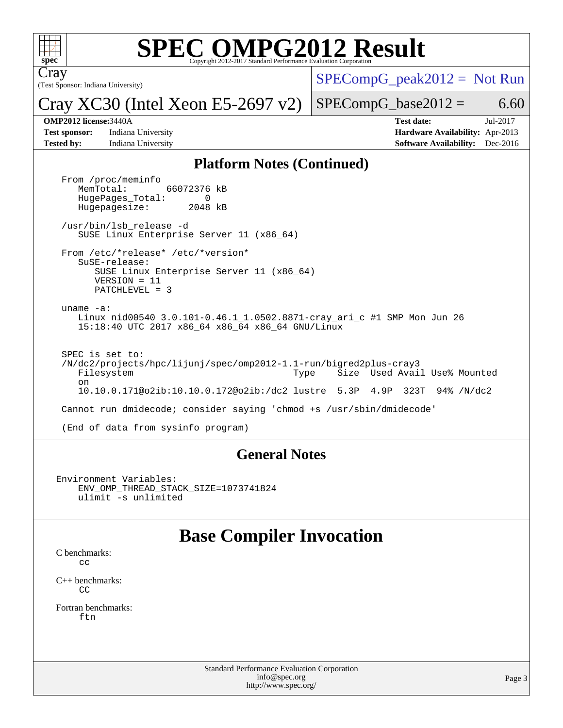

# **[SPEC OMPG2012 Result](http://www.spec.org/auto/omp2012/Docs/result-fields.html#SPECOMPG2012Result)**

(Test Sponsor: Indiana University) Cray

 $SPECompG_peak2012 = Not Run$  $SPECompG_peak2012 = Not Run$ 

Cray XC30 (Intel Xeon E5-2697 v2)

 $SPECompG_base2012 = 6.60$  $SPECompG_base2012 = 6.60$ 

**[Test sponsor:](http://www.spec.org/auto/omp2012/Docs/result-fields.html#Testsponsor)** Indiana University **[Hardware Availability:](http://www.spec.org/auto/omp2012/Docs/result-fields.html#HardwareAvailability)** Apr-2013

**[OMP2012 license:](http://www.spec.org/auto/omp2012/Docs/result-fields.html#OMP2012license)**3440A **[Test date:](http://www.spec.org/auto/omp2012/Docs/result-fields.html#Testdate)** Jul-2017 **[Tested by:](http://www.spec.org/auto/omp2012/Docs/result-fields.html#Testedby)** Indiana University **[Software Availability:](http://www.spec.org/auto/omp2012/Docs/result-fields.html#SoftwareAvailability)** Dec-2016

### **[Platform Notes \(Continued\)](http://www.spec.org/auto/omp2012/Docs/result-fields.html#PlatformNotes)**

From /proc/meminfo<br>MemTotal: 66072376 kB HugePages\_Total: 0<br>Hugepagesize: 2048 kB Hugepagesize: /usr/bin/lsb\_release -d SUSE Linux Enterprise Server 11 (x86\_64) From /etc/\*release\* /etc/\*version\* SuSE-release: SUSE Linux Enterprise Server 11 (x86\_64) VERSION = 11 PATCHLEVEL = 3 uname -a: Linux nid00540 3.0.101-0.46.1\_1.0502.8871-cray\_ari\_c #1 SMP Mon Jun 26 15:18:40 UTC 2017 x86\_64 x86\_64 x86\_64 GNU/Linux SPEC is set to: /N/dc2/projects/hpc/lijunj/spec/omp2012-1.1-run/bigred2plus-cray3 Filesystem Type Size Used Avail Use% Mounted on 10.10.0.171@o2ib:10.10.0.172@o2ib:/dc2 lustre 5.3P 4.9P 323T 94% /N/dc2 Cannot run dmidecode; consider saying 'chmod +s /usr/sbin/dmidecode' (End of data from sysinfo program)

### **[General Notes](http://www.spec.org/auto/omp2012/Docs/result-fields.html#GeneralNotes)**

```
Environment Variables:
ENV_OMP_THREAD_STACK_SIZE=1073741824
ulimit -s unlimited
```
# **[Base Compiler Invocation](http://www.spec.org/auto/omp2012/Docs/result-fields.html#BaseCompilerInvocation)**

[C benchmarks](http://www.spec.org/auto/omp2012/Docs/result-fields.html#Cbenchmarks): [cc](http://www.spec.org/omp2012/results/res2017q3/omp2012-20170728-00110.flags.html#user_CCbase_craycc)

[C++ benchmarks:](http://www.spec.org/auto/omp2012/Docs/result-fields.html#CXXbenchmarks) [CC](http://www.spec.org/omp2012/results/res2017q3/omp2012-20170728-00110.flags.html#user_CXXbase_crayCC)

[Fortran benchmarks](http://www.spec.org/auto/omp2012/Docs/result-fields.html#Fortranbenchmarks): [ftn](http://www.spec.org/omp2012/results/res2017q3/omp2012-20170728-00110.flags.html#user_FCbase_crayftn)

> Standard Performance Evaluation Corporation [info@spec.org](mailto:info@spec.org) <http://www.spec.org/>